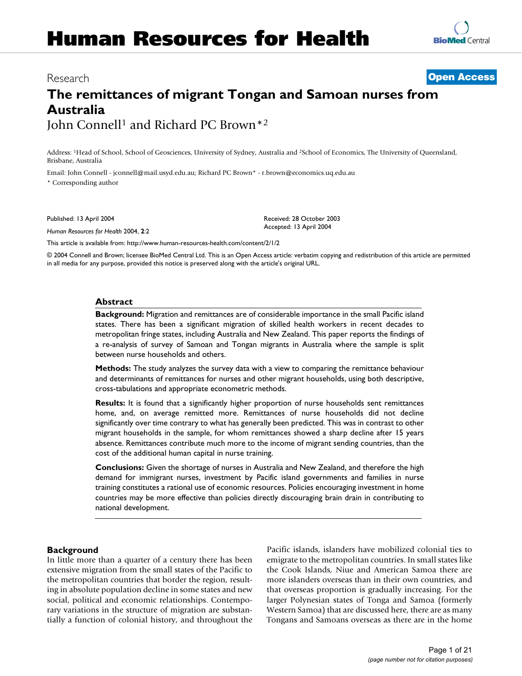# **Human Resources for Health**



# Research **[Open Access](http://www.biomedcentral.com/info/about/charter/)**

# **The remittances of migrant Tongan and Samoan nurses from Australia** John Connell1 and Richard PC Brown\*2

Address: 1Head of School, School of Geosciences, University of Sydney, Australia and 2School of Economics, The University of Queensland, Brisbane, Australia

Email: John Connell - jconnell@mail.usyd.edu.au; Richard PC Brown\* - r.brown@economics.uq.edu.au \* Corresponding author

Published: 13 April 2004

*Human Resources for Health* 2004, **2**:2

Received: 28 October 2003 Accepted: 13 April 2004

[This article is available from: http://www.human-resources-health.com/content/2/1/2](http://www.human-resources-health.com/content/2/1/2)

© 2004 Connell and Brown; licensee BioMed Central Ltd. This is an Open Access article: verbatim copying and redistribution of this article are permitted in all media for any purpose, provided this notice is preserved along with the article's original URL.

#### **Abstract**

**Background:** Migration and remittances are of considerable importance in the small Pacific island states. There has been a significant migration of skilled health workers in recent decades to metropolitan fringe states, including Australia and New Zealand. This paper reports the findings of a re-analysis of survey of Samoan and Tongan migrants in Australia where the sample is split between nurse households and others.

**Methods:** The study analyzes the survey data with a view to comparing the remittance behaviour and determinants of remittances for nurses and other migrant households, using both descriptive, cross-tabulations and appropriate econometric methods.

**Results:** It is found that a significantly higher proportion of nurse households sent remittances home, and, on average remitted more. Remittances of nurse households did not decline significantly over time contrary to what has generally been predicted. This was in contrast to other migrant households in the sample, for whom remittances showed a sharp decline after 15 years absence. Remittances contribute much more to the income of migrant sending countries, than the cost of the additional human capital in nurse training.

**Conclusions:** Given the shortage of nurses in Australia and New Zealand, and therefore the high demand for immigrant nurses, investment by Pacific island governments and families in nurse training constitutes a rational use of economic resources. Policies encouraging investment in home countries may be more effective than policies directly discouraging brain drain in contributing to national development.

#### **Background**

In little more than a quarter of a century there has been extensive migration from the small states of the Pacific to the metropolitan countries that border the region, resulting in absolute population decline in some states and new social, political and economic relationships. Contemporary variations in the structure of migration are substantially a function of colonial history, and throughout the Pacific islands, islanders have mobilized colonial ties to emigrate to the metropolitan countries. In small states like the Cook Islands, Niue and American Samoa there are more islanders overseas than in their own countries, and that overseas proportion is gradually increasing. For the larger Polynesian states of Tonga and Samoa (formerly Western Samoa) that are discussed here, there are as many Tongans and Samoans overseas as there are in the home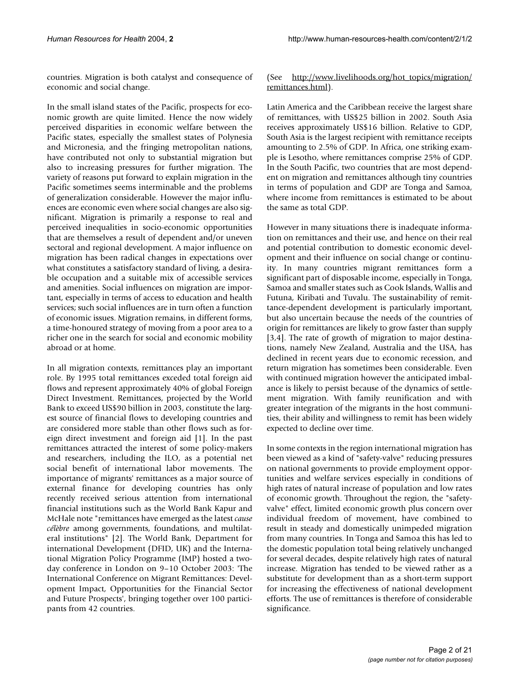countries. Migration is both catalyst and consequence of economic and social change.

In the small island states of the Pacific, prospects for economic growth are quite limited. Hence the now widely perceived disparities in economic welfare between the Pacific states, especially the smallest states of Polynesia and Micronesia, and the fringing metropolitan nations, have contributed not only to substantial migration but also to increasing pressures for further migration. The variety of reasons put forward to explain migration in the Pacific sometimes seems interminable and the problems of generalization considerable. However the major influences are economic even where social changes are also significant. Migration is primarily a response to real and perceived inequalities in socio-economic opportunities that are themselves a result of dependent and/or uneven sectoral and regional development. A major influence on migration has been radical changes in expectations over what constitutes a satisfactory standard of living, a desirable occupation and a suitable mix of accessible services and amenities. Social influences on migration are important, especially in terms of access to education and health services; such social influences are in turn often a function of economic issues. Migration remains, in different forms, a time-honoured strategy of moving from a poor area to a richer one in the search for social and economic mobility abroad or at home.

In all migration contexts, remittances play an important role. By 1995 total remittances exceded total foreign aid flows and represent approximately 40% of global Foreign Direct Investment. Remittances, projected by the World Bank to exceed US\$90 billion in 2003, constitute the largest source of financial flows to developing countries and are considered more stable than other flows such as foreign direct investment and foreign aid [1]. In the past remittances attracted the interest of some policy-makers and researchers, including the ILO, as a potential net social benefit of international labor movements. The importance of migrants' remittances as a major source of external finance for developing countries has only recently received serious attention from international financial institutions such as the World Bank Kapur and McHale note "remittances have emerged as the latest *cause célèbre* among governments, foundations, and multilateral institutions" [2]. The World Bank, Department for international Development (DFID, UK) and the International Migration Policy Programme (IMP) hosted a twoday conference in London on 9–10 October 2003: 'The International Conference on Migrant Remittances: Development Impact, Opportunities for the Financial Sector and Future Prospects', bringing together over 100 participants from 42 countries.

(See [http://www.livelihoods.org/hot\\_topics/migration/](http://www.livelihoods.org/hot_topics/migration/remittances.html) [remittances.html](http://www.livelihoods.org/hot_topics/migration/remittances.html)).

Latin America and the Caribbean receive the largest share of remittances, with US\$25 billion in 2002. South Asia receives approximately US\$16 billion. Relative to GDP, South Asia is the largest recipient with remittance receipts amounting to 2.5% of GDP. In Africa, one striking example is Lesotho, where remittances comprise 25% of GDP. In the South Pacific, two countries that are most dependent on migration and remittances although tiny countries in terms of population and GDP are Tonga and Samoa, where income from remittances is estimated to be about the same as total GDP.

However in many situations there is inadequate information on remittances and their use, and hence on their real and potential contribution to domestic economic development and their influence on social change or continuity. In many countries migrant remittances form a significant part of disposable income, especially in Tonga, Samoa and smaller states such as Cook Islands, Wallis and Futuna, Kiribati and Tuvalu. The sustainability of remittance-dependent development is particularly important, but also uncertain because the needs of the countries of origin for remittances are likely to grow faster than supply [3,4]. The rate of growth of migration to major destinations, namely New Zealand, Australia and the USA, has declined in recent years due to economic recession, and return migration has sometimes been considerable. Even with continued migration however the anticipated imbalance is likely to persist because of the dynamics of settlement migration. With family reunification and with greater integration of the migrants in the host communities, their ability and willingness to remit has been widely expected to decline over time.

In some contexts in the region international migration has been viewed as a kind of "safety-valve" reducing pressures on national governments to provide employment opportunities and welfare services especially in conditions of high rates of natural increase of population and low rates of economic growth. Throughout the region, the "safetyvalve" effect, limited economic growth plus concern over individual freedom of movement, have combined to result in steady and domestically unimpeded migration from many countries. In Tonga and Samoa this has led to the domestic population total being relatively unchanged for several decades, despite relatively high rates of natural increase. Migration has tended to be viewed rather as a substitute for development than as a short-term support for increasing the effectiveness of national development efforts. The use of remittances is therefore of considerable significance.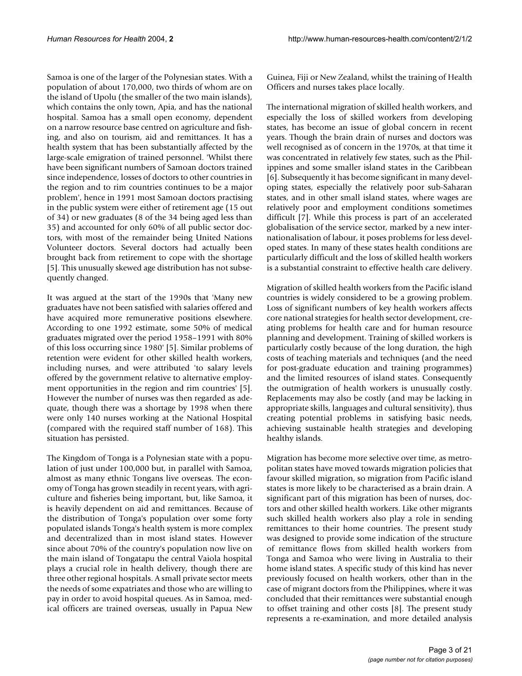Samoa is one of the larger of the Polynesian states. With a population of about 170,000, two thirds of whom are on the island of Upolu (the smaller of the two main islands), which contains the only town, Apia, and has the national hospital. Samoa has a small open economy, dependent on a narrow resource base centred on agriculture and fishing, and also on tourism, aid and remittances. It has a health system that has been substantially affected by the large-scale emigration of trained personnel. 'Whilst there have been significant numbers of Samoan doctors trained since independence, losses of doctors to other countries in the region and to rim countries continues to be a major problem', hence in 1991 most Samoan doctors practising in the public system were either of retirement age (15 out of 34) or new graduates (8 of the 34 being aged less than 35) and accounted for only 60% of all public sector doctors, with most of the remainder being United Nations Volunteer doctors. Several doctors had actually been brought back from retirement to cope with the shortage [5]. This unusually skewed age distribution has not subsequently changed.

It was argued at the start of the 1990s that 'Many new graduates have not been satisfied with salaries offered and have acquired more remunerative positions elsewhere. According to one 1992 estimate, some 50% of medical graduates migrated over the period 1958–1991 with 80% of this loss occurring since 1980' [5]. Similar problems of retention were evident for other skilled health workers, including nurses, and were attributed 'to salary levels offered by the government relative to alternative employment opportunities in the region and rim countries' [5]. However the number of nurses was then regarded as adequate, though there was a shortage by 1998 when there were only 140 nurses working at the National Hospital (compared with the required staff number of 168). This situation has persisted.

The Kingdom of Tonga is a Polynesian state with a population of just under 100,000 but, in parallel with Samoa, almost as many ethnic Tongans live overseas. The economy of Tonga has grown steadily in recent years, with agriculture and fisheries being important, but, like Samoa, it is heavily dependent on aid and remittances. Because of the distribution of Tonga's population over some forty populated islands Tonga's health system is more complex and decentralized than in most island states. However since about 70% of the country's population now live on the main island of Tongatapu the central Vaiola hospital plays a crucial role in health delivery, though there are three other regional hospitals. A small private sector meets the needs of some expatriates and those who are willing to pay in order to avoid hospital queues. As in Samoa, medical officers are trained overseas, usually in Papua New

Guinea, Fiji or New Zealand, whilst the training of Health Officers and nurses takes place locally.

The international migration of skilled health workers, and especially the loss of skilled workers from developing states, has become an issue of global concern in recent years. Though the brain drain of nurses and doctors was well recognised as of concern in the 1970s, at that time it was concentrated in relatively few states, such as the Philippines and some smaller island states in the Caribbean [6]. Subsequently it has become significant in many developing states, especially the relatively poor sub-Saharan states, and in other small island states, where wages are relatively poor and employment conditions sometimes difficult [7]. While this process is part of an accelerated globalisation of the service sector, marked by a new internationalisation of labour, it poses problems for less developed states. In many of these states health conditions are particularly difficult and the loss of skilled health workers is a substantial constraint to effective health care delivery.

Migration of skilled health workers from the Pacific island countries is widely considered to be a growing problem. Loss of significant numbers of key health workers affects core national strategies for health sector development, creating problems for health care and for human resource planning and development. Training of skilled workers is particularly costly because of the long duration, the high costs of teaching materials and techniques (and the need for post-graduate education and training programmes) and the limited resources of island states. Consequently the outmigration of health workers is unusually costly. Replacements may also be costly (and may be lacking in appropriate skills, languages and cultural sensitivity), thus creating potential problems in satisfying basic needs, achieving sustainable health strategies and developing healthy islands.

Migration has become more selective over time, as metropolitan states have moved towards migration policies that favour skilled migration, so migration from Pacific island states is more likely to be characterised as a brain drain. A significant part of this migration has been of nurses, doctors and other skilled health workers. Like other migrants such skilled health workers also play a role in sending remittances to their home countries. The present study was designed to provide some indication of the structure of remittance flows from skilled health workers from Tonga and Samoa who were living in Australia to their home island states. A specific study of this kind has never previously focused on health workers, other than in the case of migrant doctors from the Philippines, where it was concluded that their remittances were substantial enough to offset training and other costs [8]. The present study represents a re-examination, and more detailed analysis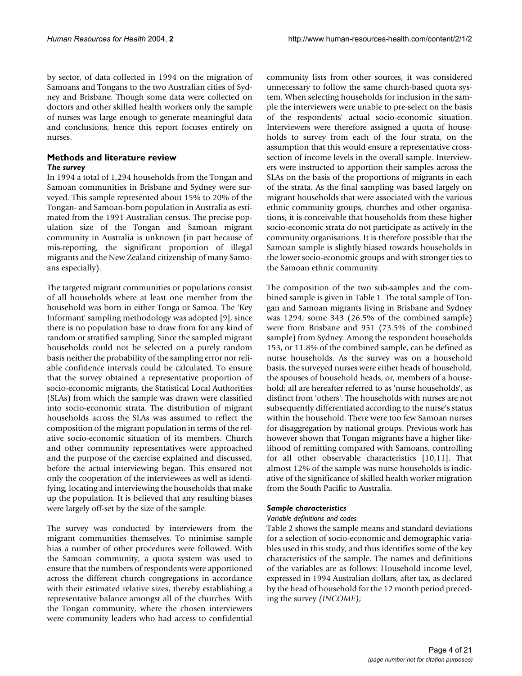by sector, of data collected in 1994 on the migration of Samoans and Tongans to the two Australian cities of Sydney and Brisbane. Though some data were collected on doctors and other skilled health workers only the sample of nurses was large enough to generate meaningful data and conclusions, hence this report focuses entirely on nurses.

# **Methods and literature review** *The survey*

In 1994 a total of 1,294 households from the Tongan and Samoan communities in Brisbane and Sydney were surveyed. This sample represented about 15% to 20% of the Tongan- and Samoan-born population in Australia as estimated from the 1991 Australian census. The precise population size of the Tongan and Samoan migrant community in Australia is unknown (in part because of mis-reporting, the significant proportion of illegal migrants and the New Zealand citizenship of many Samoans especially).

The targeted migrant communities or populations consist of all households where at least one member from the household was born in either Tonga or Samoa. The 'Key Informant' sampling methodology was adopted [9], since there is no population base to draw from for any kind of random or stratified sampling. Since the sampled migrant households could not be selected on a purely random basis neither the probability of the sampling error nor reliable confidence intervals could be calculated. To ensure that the survey obtained a representative proportion of socio-economic migrants, the Statistical Local Authorities (SLAs) from which the sample was drawn were classified into socio-economic strata. The distribution of migrant households across the SLAs was assumed to reflect the composition of the migrant population in terms of the relative socio-economic situation of its members. Church and other community representatives were approached and the purpose of the exercise explained and discussed, before the actual interviewing began. This ensured not only the cooperation of the interviewees as well as identifying, locating and interviewing the households that make up the population. It is believed that any resulting biases were largely off-set by the size of the sample.

The survey was conducted by interviewers from the migrant communities themselves. To minimise sample bias a number of other procedures were followed. With the Samoan community, a quota system was used to ensure that the numbers of respondents were apportioned across the different church congregations in accordance with their estimated relative sizes, thereby establishing a representative balance amongst all of the churches. With the Tongan community, where the chosen interviewers were community leaders who had access to confidential

community lists from other sources, it was considered unnecessary to follow the same church-based quota system. When selecting households for inclusion in the sample the interviewers were unable to pre-select on the basis of the respondents' actual socio-economic situation. Interviewers were therefore assigned a quota of households to survey from each of the four strata, on the assumption that this would ensure a representative crosssection of income levels in the overall sample. Interviewers were instructed to apportion their samples across the SLAs on the basis of the proportions of migrants in each of the strata. As the final sampling was based largely on migrant households that were associated with the various ethnic community groups, churches and other organisations, it is conceivable that households from these higher socio-economic strata do not participate as actively in the community organisations. It is therefore possible that the Samoan sample is slightly biased towards households in the lower socio-economic groups and with stronger ties to the Samoan ethnic community.

The composition of the two sub-samples and the combined sample is given in Table [1](#page-4-0). The total sample of Tongan and Samoan migrants living in Brisbane and Sydney was 1294; some 343 (26.5% of the combined sample) were from Brisbane and 951 (73.5% of the combined sample) from Sydney. Among the respondent households 153, or 11.8% of the combined sample, can be defined as nurse households. As the survey was on a household basis, the surveyed nurses were either heads of household, the spouses of household heads, or, members of a household; all are hereafter referred to as 'nurse households', as distinct from 'others'. The households with nurses are not subsequently differentiated according to the nurse's status within the household. There were too few Samoan nurses for disaggregation by national groups. Previous work has however shown that Tongan migrants have a higher likelihood of remitting compared with Samoans, controlling for all other observable characteristics [10,11]. That almost 12% of the sample was nurse households is indicative of the significance of skilled health worker migration from the South Pacific to Australia.

# *Sample characteristics*

# *Variable definitions and codes*

Table [2](#page-4-1) shows the sample means and standard deviations for a selection of socio-economic and demographic variables used in this study, and thus identifies some of the key characteristics of the sample. The names and definitions of the variables are as follows: Household income level, expressed in 1994 Australian dollars, after tax, as declared by the head of household for the 12 month period preceding the survey *(INCOME)*;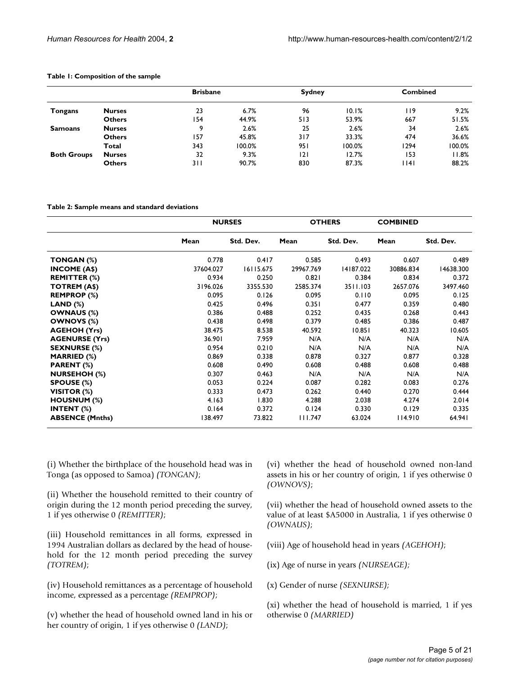#### <span id="page-4-0"></span>**Table 1: Composition of the sample**

|                    | <b>Nurses</b> | <b>Brisbane</b> |        | <b>Sydney</b> |        | <b>Combined</b> |        |
|--------------------|---------------|-----------------|--------|---------------|--------|-----------------|--------|
| <b>Tongans</b>     |               | 23              | 6.7%   | 96            | 10.1%  | 119             | 9.2%   |
|                    | <b>Others</b> | 154             | 44.9%  | 513           | 53.9%  | 667             | 51.5%  |
| <b>Samoans</b>     | <b>Nurses</b> | 9               | 2.6%   | 25            | 2.6%   | 34              | 2.6%   |
|                    | <b>Others</b> | 157             | 45.8%  | 317           | 33.3%  | 474             | 36.6%  |
|                    | Total         | 343             | 100.0% | 951           | 100.0% | 1294            | 100.0% |
| <b>Both Groups</b> | <b>Nurses</b> | 32              | 9.3%   | 121           | 12.7%  | 153             | 11.8%  |
|                    | <b>Others</b> | 3 I I           | 90.7%  | 830           | 87.3%  | l 14 I          | 88.2%  |

#### <span id="page-4-1"></span>**Table 2: Sample means and standard deviations**

|                        | <b>NURSES</b> |           |           | <b>OTHERS</b> | <b>COMBINED</b> |           |
|------------------------|---------------|-----------|-----------|---------------|-----------------|-----------|
|                        | Mean          | Std. Dev. | Mean      | Std. Dev.     | Mean            | Std. Dev. |
| TONGAN (%)             | 0.778         | 0.417     | 0.585     | 0.493         | 0.607           | 0.489     |
| <b>INCOME (A\$)</b>    | 37604.027     | 16115.675 | 29967.769 | 14187.022     | 30886.834       | 14638.300 |
| <b>REMITTER (%)</b>    | 0.934         | 0.250     | 0.821     | 0.384         | 0.834           | 0.372     |
| TOTREM (A\$)           | 3196.026      | 3355.530  | 2585.374  | 3511.103      | 2657.076        | 3497.460  |
| <b>REMPROP (%)</b>     | 0.095         | 0.126     | 0.095     | 0.110         | 0.095           | 0.125     |
| LAND $(%)$             | 0.425         | 0.496     | 0.351     | 0.477         | 0.359           | 0.480     |
| OWNAUS (%)             | 0.386         | 0.488     | 0.252     | 0.435         | 0.268           | 0.443     |
| OWNOVS (%)             | 0.438         | 0.498     | 0.379     | 0.485         | 0.386           | 0.487     |
| <b>AGEHOH (Yrs)</b>    | 38.475        | 8.538     | 40.592    | 10.851        | 40.323          | 10.605    |
| <b>AGENURSE (Yrs)</b>  | 36.901        | 7.959     | N/A       | N/A           | N/A             | N/A       |
| <b>SEXNURSE (%)</b>    | 0.954         | 0.210     | N/A       | N/A           | N/A             | N/A       |
| <b>MARRIED (%)</b>     | 0.869         | 0.338     | 0.878     | 0.327         | 0.877           | 0.328     |
| PARENT (%)             | 0.608         | 0.490     | 0.608     | 0.488         | 0.608           | 0.488     |
| <b>NURSEHOH (%)</b>    | 0.307         | 0.463     | N/A       | N/A           | N/A             | N/A       |
| SPOUSE (%)             | 0.053         | 0.224     | 0.087     | 0.282         | 0.083           | 0.276     |
| VISITOR (%)            | 0.333         | 0.473     | 0.262     | 0.440         | 0.270           | 0.444     |
| HOUSNUM (%)            | 4.163         | 1.830     | 4.288     | 2.038         | 4.274           | 2.014     |
| INTENT (%)             | 0.164         | 0.372     | 0.124     | 0.330         | 0.129           | 0.335     |
| <b>ABSENCE (Mnths)</b> | 138.497       | 73.822    | 111.747   | 63.024        | 114.910         | 64.941    |

(i) Whether the birthplace of the household head was in Tonga (as opposed to Samoa) *(TONGAN)*;

(ii) Whether the household remitted to their country of origin during the 12 month period preceding the survey, 1 if yes otherwise 0 *(REMITTER)*;

(iii) Household remittances in all forms, expressed in 1994 Australian dollars as declared by the head of household for the 12 month period preceding the survey *(TOTREM)*;

(iv) Household remittances as a percentage of household income, expressed as a percentage *(REMPROP)*;

(v) whether the head of household owned land in his or her country of origin, 1 if yes otherwise 0 *(LAND)*;

(vi) whether the head of household owned non-land assets in his or her country of origin, 1 if yes otherwise 0 *(OWNOVS)*;

(vii) whether the head of household owned assets to the value of at least \$A5000 in Australia, 1 if yes otherwise 0 *(OWNAUS)*;

(viii) Age of household head in years *(AGEHOH)*;

(ix) Age of nurse in years *(NURSEAGE);*

(x) Gender of nurse *(SEXNURSE);*

(xi) whether the head of household is married, 1 if yes otherwise 0 *(MARRIED)*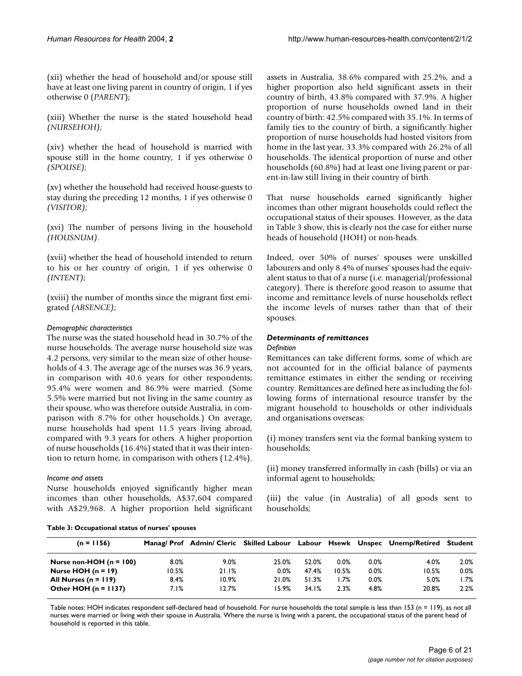(xii) whether the head of household and/or spouse still have at least one living parent in country of origin, 1 if yes otherwise 0 (*PARENT*);

(xiii) Whether the nurse is the stated household head *(NURSEHOH);*

(xiv) whether the head of household is married with spouse still in the home country, 1 if yes otherwise 0 *(SPOUSE)*;

(xv) whether the household had received house-guests to stay during the preceding 12 months, 1 if yes otherwise 0 *(VISITOR)*;

(xvi) The number of persons living in the household *(HOUSNUM)*.

(xvii) whether the head of household intended to return to his or her country of origin, 1 if yes otherwise 0 *(INTENT)*;

(xviii) the number of months since the migrant first emigrated *(ABSENCE)*;

#### *Demographic characteristics*

The nurse was the stated household head in 30.7% of the nurse households. The average nurse household size was 4.2 persons, very similar to the mean size of other households of 4.3. The average age of the nurses was 36.9 years, in comparison with 40.6 years for other respondents; 95.4% were women and 86.9% were married. (Some 5.5% were married but not living in the same country as their spouse, who was therefore outside Australia, in comparison with 8.7% for other households.) On average, nurse households had spent 11.5 years living abroad, compared with 9.3 years for others. A higher proportion of nurse households (16.4%) stated that it was their intention to return home, in comparison with others (12.4%).

#### *Income and assets*

Nurse households enjoyed significantly higher mean incomes than other households, A\$37,604 compared with A\$29,968. A higher proportion held significant assets in Australia, 38.6% compared with 25.2%, and a higher proportion also held significant assets in their country of birth, 43.8% compared with 37.9%. A higher proportion of nurse households owned land in their country of birth: 42.5% compared with 35.1%. In terms of family ties to the country of birth, a significantly higher proportion of nurse households had hosted visitors from home in the last year, 33.3% compared with 26.2% of all households. The identical proportion of nurse and other households (60.8%) had at least one living parent or parent-in-law still living in their country of birth.

That nurse households earned significantly higher incomes than other migrant households could reflect the occupational status of their spouses. However, as the data in Table [3](#page-5-0) show, this is clearly not the case for either nurse heads of household (HOH) or non-heads.

Indeed, over 50% of nurses' spouses were unskilled labourers and only 8.4% of nurses' spouses had the equivalent status to that of a nurse (i.e. managerial/professional category). There is therefore good reason to assume that income and remittance levels of nurse households reflect the income levels of nurses rather than that of their spouses.

# *Determinants of remittances*

### *Definition*

Remittances can take different forms, some of which are not accounted for in the official balance of payments remittance estimates in either the sending or receiving country. Remittances are defined here as including the following forms of international resource transfer by the migrant household to households or other individuals and organisations overseas:

(i) money transfers sent via the formal banking system to households;

(ii) money transferred informally in cash (bills) or via an informal agent to households;

(iii) the value (in Australia) of all goods sent to households;

<span id="page-5-0"></span>

|  |  | Table 3: Occupational status of nurses' spouses |  |  |  |
|--|--|-------------------------------------------------|--|--|--|
|--|--|-------------------------------------------------|--|--|--|

| $(n = 1156)$              |       |       |       |       |         |      | Manag/Prof Admin/Cleric Skilled Labour Labour Hsewk Unspec Unemp/Retired Student |         |
|---------------------------|-------|-------|-------|-------|---------|------|----------------------------------------------------------------------------------|---------|
| Nurse non-HOH $(n = 100)$ | 8.0%  | 9.0%  | 25.0% | 52.0% | $0.0\%$ | 0.0% | 4.0%                                                                             | 2.0%    |
| Nurse HOH $(n = 19)$      | 10.5% | 21.1% | 0.0%  | 47.4% | 10.5%   | 0.0% | 10.5%                                                                            | $0.0\%$ |
| All Nurses $(n = 119)$    | 8.4%  | 10.9% | 21.0% | 51.3% | l.7%    | 0.0% | 5.0%                                                                             | l.7%    |
| Other HOH $(n = 1137)$    | 7.1%  | 12.7% | 15.9% | 34.1% | 2.3%    | 4.8% | 20.8%                                                                            | 2.2%    |

Table notes: HOH indicates respondent self-declared head of household. For nurse households the total sample is less than 153 (n = 119), as not all nurses were married or living with their spouse in Australia. Where the nurse is living with a parent, the occupational status of the parent head of household is reported in this table.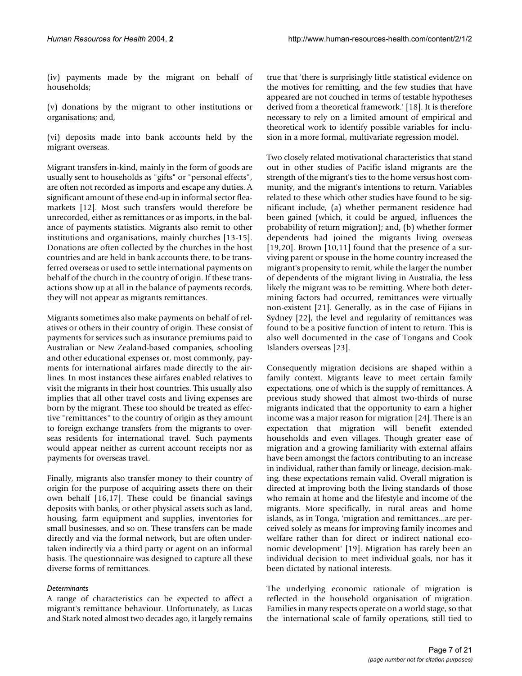(iv) payments made by the migrant on behalf of households;

(v) donations by the migrant to other institutions or organisations; and,

(vi) deposits made into bank accounts held by the migrant overseas.

Migrant transfers in-kind, mainly in the form of goods are usually sent to households as "gifts" or "personal effects", are often not recorded as imports and escape any duties. A significant amount of these end-up in informal sector fleamarkets [12]. Most such transfers would therefore be unrecorded, either as remittances or as imports, in the balance of payments statistics. Migrants also remit to other institutions and organisations, mainly churches [13-15]. Donations are often collected by the churches in the host countries and are held in bank accounts there, to be transferred overseas or used to settle international payments on behalf of the church in the country of origin. If these transactions show up at all in the balance of payments records, they will not appear as migrants remittances.

Migrants sometimes also make payments on behalf of relatives or others in their country of origin. These consist of payments for services such as insurance premiums paid to Australian or New Zealand-based companies, schooling and other educational expenses or, most commonly, payments for international airfares made directly to the airlines. In most instances these airfares enabled relatives to visit the migrants in their host countries. This usually also implies that all other travel costs and living expenses are born by the migrant. These too should be treated as effective "remittances" to the country of origin as they amount to foreign exchange transfers from the migrants to overseas residents for international travel. Such payments would appear neither as current account receipts nor as payments for overseas travel.

Finally, migrants also transfer money to their country of origin for the purpose of acquiring assets there on their own behalf [16,17]. These could be financial savings deposits with banks, or other physical assets such as land, housing, farm equipment and supplies, inventories for small businesses, and so on. These transfers can be made directly and via the formal network, but are often undertaken indirectly via a third party or agent on an informal basis. The questionnaire was designed to capture all these diverse forms of remittances.

# *Determinants*

A range of characteristics can be expected to affect a migrant's remittance behaviour. Unfortunately, as Lucas and Stark noted almost two decades ago, it largely remains true that 'there is surprisingly little statistical evidence on the motives for remitting, and the few studies that have appeared are not couched in terms of testable hypotheses derived from a theoretical framework.' [18]. It is therefore necessary to rely on a limited amount of empirical and theoretical work to identify possible variables for inclusion in a more formal, multivariate regression model.

Two closely related motivational characteristics that stand out in other studies of Pacific island migrants are the strength of the migrant's ties to the home versus host community, and the migrant's intentions to return. Variables related to these which other studies have found to be significant include, (a) whether permanent residence had been gained (which, it could be argued, influences the probability of return migration); and, (b) whether former dependents had joined the migrants living overseas [19,20]. Brown [10,11] found that the presence of a surviving parent or spouse in the home country increased the migrant's propensity to remit, while the larger the number of dependents of the migrant living in Australia, the less likely the migrant was to be remitting. Where both determining factors had occurred, remittances were virtually non-existent [21]. Generally, as in the case of Fijians in Sydney [22], the level and regularity of remittances was found to be a positive function of intent to return. This is also well documented in the case of Tongans and Cook Islanders overseas [23].

Consequently migration decisions are shaped within a family context. Migrants leave to meet certain family expectations, one of which is the supply of remittances. A previous study showed that almost two-thirds of nurse migrants indicated that the opportunity to earn a higher income was a major reason for migration [24]. There is an expectation that migration will benefit extended households and even villages. Though greater ease of migration and a growing familiarity with external affairs have been amongst the factors contributing to an increase in individual, rather than family or lineage, decision-making, these expectations remain valid. Overall migration is directed at improving both the living standards of those who remain at home and the lifestyle and income of the migrants. More specifically, in rural areas and home islands, as in Tonga, 'migration and remittances...are perceived solely as means for improving family incomes and welfare rather than for direct or indirect national economic development' [19]. Migration has rarely been an individual decision to meet individual goals, nor has it been dictated by national interests.

The underlying economic rationale of migration is reflected in the household organisation of migration. Families in many respects operate on a world stage, so that the 'international scale of family operations, still tied to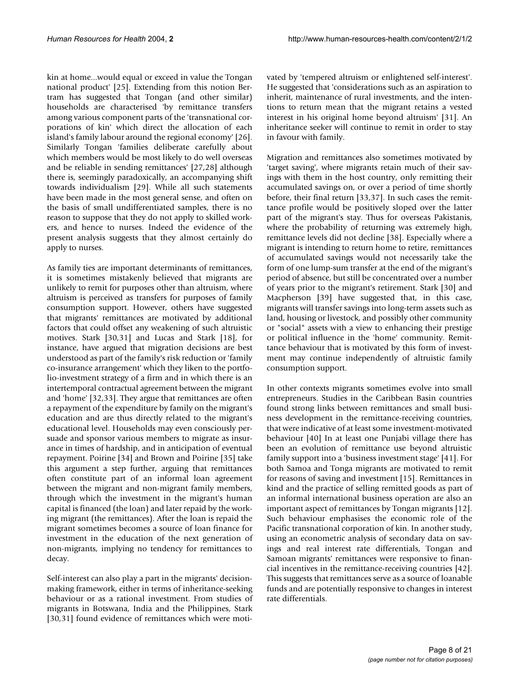kin at home...would equal or exceed in value the Tongan national product' [25]. Extending from this notion Bertram has suggested that Tongan (and other similar) households are characterised 'by remittance transfers among various component parts of the 'transnational corporations of kin' which direct the allocation of each island's family labour around the regional economy' [26]. Similarly Tongan 'families deliberate carefully about which members would be most likely to do well overseas and be reliable in sending remittances' [27,28] although there is, seemingly paradoxically, an accompanying shift towards individualism [29]. While all such statements have been made in the most general sense, and often on the basis of small undifferentiated samples, there is no reason to suppose that they do not apply to skilled workers, and hence to nurses. Indeed the evidence of the present analysis suggests that they almost certainly do apply to nurses.

As family ties are important determinants of remittances, it is sometimes mistakenly believed that migrants are unlikely to remit for purposes other than altruism, where altruism is perceived as transfers for purposes of family consumption support. However, others have suggested that migrants' remittances are motivated by additional factors that could offset any weakening of such altruistic motives. Stark [30,31] and Lucas and Stark [18], for instance, have argued that migration decisions are best understood as part of the family's risk reduction or 'family co-insurance arrangement' which they liken to the portfolio-investment strategy of a firm and in which there is an intertemporal contractual agreement between the migrant and 'home' [32,33]. They argue that remittances are often a repayment of the expenditure by family on the migrant's education and are thus directly related to the migrant's educational level. Households may even consciously persuade and sponsor various members to migrate as insurance in times of hardship, and in anticipation of eventual repayment. Poirine [34] and Brown and Poirine [35] take this argument a step further, arguing that remittances often constitute part of an informal loan agreement between the migrant and non-migrant family members, through which the investment in the migrant's human capital is financed (the loan) and later repaid by the working migrant (the remittances). After the loan is repaid the migrant sometimes becomes a source of loan finance for investment in the education of the next generation of non-migrants, implying no tendency for remittances to decay.

Self-interest can also play a part in the migrants' decisionmaking framework, either in terms of inheritance-seeking behaviour or as a rational investment. From studies of migrants in Botswana, India and the Philippines, Stark [30,31] found evidence of remittances which were motivated by 'tempered altruism or enlightened self-interest'. He suggested that 'considerations such as an aspiration to inherit, maintenance of rural investments, and the intentions to return mean that the migrant retains a vested interest in his original home beyond altruism' [31]. An inheritance seeker will continue to remit in order to stay in favour with family.

Migration and remittances also sometimes motivated by 'target saving', where migrants retain much of their savings with them in the host country, only remitting their accumulated savings on, or over a period of time shortly before, their final return [33,37]. In such cases the remittance profile would be positively sloped over the latter part of the migrant's stay. Thus for overseas Pakistanis, where the probability of returning was extremely high, remittance levels did not decline [38]. Especially where a migrant is intending to return home to retire, remittances of accumulated savings would not necessarily take the form of one lump-sum transfer at the end of the migrant's period of absence, but still be concentrated over a number of years prior to the migrant's retirement. Stark [30] and Macpherson [39] have suggested that, in this case, migrants will transfer savings into long-term assets such as land, housing or livestock, and possibly other community or "social" assets with a view to enhancing their prestige or political influence in the 'home' community. Remittance behaviour that is motivated by this form of investment may continue independently of altruistic family consumption support.

In other contexts migrants sometimes evolve into small entrepreneurs. Studies in the Caribbean Basin countries found strong links between remittances and small business development in the remittance-receiving countries, that were indicative of at least some investment-motivated behaviour [40] In at least one Punjabi village there has been an evolution of remittance use beyond altruistic family support into a 'business investment stage' [41]. For both Samoa and Tonga migrants are motivated to remit for reasons of saving and investment [15]. Remittances in kind and the practice of selling remitted goods as part of an informal international business operation are also an important aspect of remittances by Tongan migrants [12]. Such behaviour emphasises the economic role of the Pacific transnational corporation of kin. In another study, using an econometric analysis of secondary data on savings and real interest rate differentials, Tongan and Samoan migrants' remittances were responsive to financial incentives in the remittance-receiving countries [42]. This suggests that remittances serve as a source of loanable funds and are potentially responsive to changes in interest rate differentials.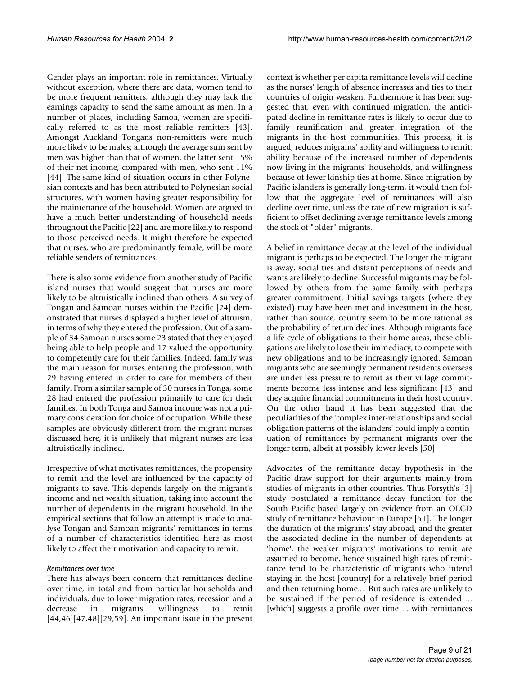Gender plays an important role in remittances. Virtually without exception, where there are data, women tend to be more frequent remitters, although they may lack the earnings capacity to send the same amount as men. In a number of places, including Samoa, women are specifically referred to as the most reliable remitters [43]. Amongst Auckland Tongans non-remitters were much more likely to be males; although the average sum sent by men was higher than that of women, the latter sent 15% of their net income, compared with men, who sent 11% [44]. The same kind of situation occurs in other Polynesian contexts and has been attributed to Polynesian social structures, with women having greater responsibility for the maintenance of the household. Women are argued to have a much better understanding of household needs throughout the Pacific [22] and are more likely to respond to those perceived needs. It might therefore be expected that nurses, who are predominantly female, will be more reliable senders of remittances.

There is also some evidence from another study of Pacific island nurses that would suggest that nurses are more likely to be altruistically inclined than others. A survey of Tongan and Samoan nurses within the Pacific [24] demonstrated that nurses displayed a higher level of altruism, in terms of why they entered the profession. Out of a sample of 34 Samoan nurses some 23 stated that they enjoyed being able to help people and 17 valued the opportunity to competently care for their families. Indeed, family was the main reason for nurses entering the profession, with 29 having entered in order to care for members of their family. From a similar sample of 30 nurses in Tonga, some 28 had entered the profession primarily to care for their families. In both Tonga and Samoa income was not a primary consideration for choice of occupation. While these samples are obviously different from the migrant nurses discussed here, it is unlikely that migrant nurses are less altruistically inclined.

Irrespective of what motivates remittances, the propensity to remit and the level are influenced by the capacity of migrants to save. This depends largely on the migrant's income and net wealth situation, taking into account the number of dependents in the migrant household. In the empirical sections that follow an attempt is made to analyse Tongan and Samoan migrants' remittances in terms of a number of characteristics identified here as most likely to affect their motivation and capacity to remit.

#### *Remittances over time*

There has always been concern that remittances decline over time, in total and from particular households and individuals, due to lower migration rates, recession and a decrease in migrants' willingness to remit [44,46][47,48][29,59]. An important issue in the present

context is whether per capita remittance levels will decline as the nurses' length of absence increases and ties to their countries of origin weaken. Furthermore it has been suggested that, even with continued migration, the anticipated decline in remittance rates is likely to occur due to family reunification and greater integration of the migrants in the host communities. This process, it is argued, reduces migrants' ability and willingness to remit: ability because of the increased number of dependents now living in the migrants' households, and willingness because of fewer kinship ties at home. Since migration by Pacific islanders is generally long-term, it would then follow that the aggregate level of remittances will also decline over time, unless the rate of new migration is sufficient to offset declining average remittance levels among the stock of "older" migrants.

A belief in remittance decay at the level of the individual migrant is perhaps to be expected. The longer the migrant is away, social ties and distant perceptions of needs and wants are likely to decline. Successful migrants may be followed by others from the same family with perhaps greater commitment. Initial savings targets (where they existed) may have been met and investment in the host, rather than source, country seem to be more rational as the probability of return declines. Although migrants face a life cycle of obligations to their home areas, these obligations are likely to lose their immediacy, to compete with new obligations and to be increasingly ignored. Samoan migrants who are seemingly permanent residents overseas are under less pressure to remit as their village commitments become less intense and less significant [43] and they acquire financial commitments in their host country. On the other hand it has been suggested that the peculiarities of the 'complex inter-relationships and social obligation patterns of the islanders' could imply a continuation of remittances by permanent migrants over the longer term, albeit at possibly lower levels [50].

Advocates of the remittance decay hypothesis in the Pacific draw support for their arguments mainly from studies of migrants in other countries. Thus Forsyth's [3] study postulated a remittance decay function for the South Pacific based largely on evidence from an OECD study of remittance behaviour in Europe [51]. The longer the duration of the migrants' stay abroad, and the greater the associated decline in the number of dependents at 'home', the weaker migrants' motivations to remit are assumed to become, hence sustained high rates of remittance tend to be characteristic of migrants who intend staying in the host [country] for a relatively brief period and then returning home.... But such rates are unlikely to be sustained if the period of residence is extended ... [which] suggests a profile over time ... with remittances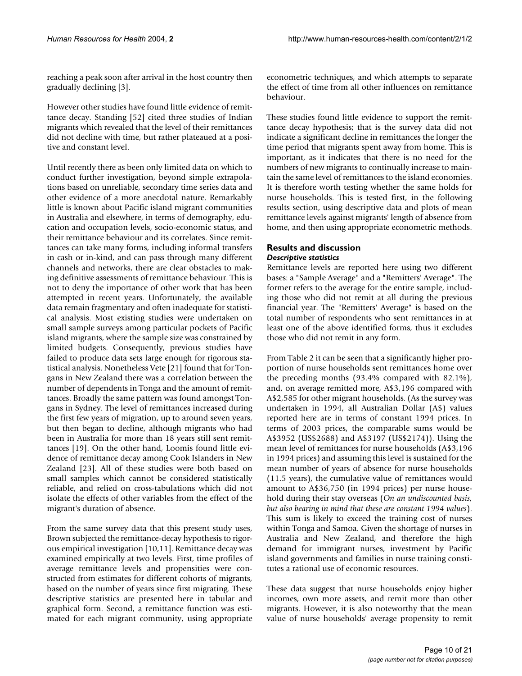reaching a peak soon after arrival in the host country then gradually declining [3].

However other studies have found little evidence of remittance decay. Standing [52] cited three studies of Indian migrants which revealed that the level of their remittances did not decline with time, but rather plateaued at a positive and constant level.

Until recently there as been only limited data on which to conduct further investigation, beyond simple extrapolations based on unreliable, secondary time series data and other evidence of a more anecdotal nature. Remarkably little is known about Pacific island migrant communities in Australia and elsewhere, in terms of demography, education and occupation levels, socio-economic status, and their remittance behaviour and its correlates. Since remittances can take many forms, including informal transfers in cash or in-kind, and can pass through many different channels and networks, there are clear obstacles to making definitive assessments of remittance behaviour. This is not to deny the importance of other work that has been attempted in recent years. Unfortunately, the available data remain fragmentary and often inadequate for statistical analysis. Most existing studies were undertaken on small sample surveys among particular pockets of Pacific island migrants, where the sample size was constrained by limited budgets. Consequently, previous studies have failed to produce data sets large enough for rigorous statistical analysis. Nonetheless Vete [21] found that for Tongans in New Zealand there was a correlation between the number of dependents in Tonga and the amount of remittances. Broadly the same pattern was found amongst Tongans in Sydney. The level of remittances increased during the first few years of migration, up to around seven years, but then began to decline, although migrants who had been in Australia for more than 18 years still sent remittances [19]. On the other hand, Loomis found little evidence of remittance decay among Cook Islanders in New Zealand [23]. All of these studies were both based on small samples which cannot be considered statistically reliable, and relied on cross-tabulations which did not isolate the effects of other variables from the effect of the migrant's duration of absence.

From the same survey data that this present study uses, Brown subjected the remittance-decay hypothesis to rigorous empirical investigation [10,11]. Remittance decay was examined empirically at two levels. First, time profiles of average remittance levels and propensities were constructed from estimates for different cohorts of migrants, based on the number of years since first migrating. These descriptive statistics are presented here in tabular and graphical form. Second, a remittance function was estimated for each migrant community, using appropriate econometric techniques, and which attempts to separate the effect of time from all other influences on remittance behaviour.

These studies found little evidence to support the remittance decay hypothesis; that is the survey data did not indicate a significant decline in remittances the longer the time period that migrants spent away from home. This is important, as it indicates that there is no need for the numbers of new migrants to continually increase to maintain the same level of remittances to the island economies. It is therefore worth testing whether the same holds for nurse households. This is tested first, in the following results section, using descriptive data and plots of mean remittance levels against migrants' length of absence from home, and then using appropriate econometric methods.

## **Results and discussion** *Descriptive statistics*

Remittance levels are reported here using two different bases: a "Sample Average" and a "Remitters' Average". The former refers to the average for the entire sample, including those who did not remit at all during the previous financial year. The "Remitters' Average" is based on the total number of respondents who sent remittances in at least one of the above identified forms, thus it excludes those who did not remit in any form.

From Table [2](#page-4-1) it can be seen that a significantly higher proportion of nurse households sent remittances home over the preceding months (93.4% compared with 82.1%), and, on average remitted more, A\$3,196 compared with A\$2,585 for other migrant households. (As the survey was undertaken in 1994, all Australian Dollar (A\$) values reported here are in terms of constant 1994 prices. In terms of 2003 prices, the comparable sums would be A\$3952 (US\$2688) and A\$3197 (US\$2174)). Using the mean level of remittances for nurse households (A\$3,196 in 1994 prices) and assuming this level is sustained for the mean number of years of absence for nurse households (11.5 years), the cumulative value of remittances would amount to A\$36,750 (in 1994 prices) per nurse household during their stay overseas (*On an undiscounted basis, but also bearing in mind that these are constant 1994 values*). This sum is likely to exceed the training cost of nurses within Tonga and Samoa. Given the shortage of nurses in Australia and New Zealand, and therefore the high demand for immigrant nurses, investment by Pacific island governments and families in nurse training constitutes a rational use of economic resources.

These data suggest that nurse households enjoy higher incomes, own more assets, and remit more than other migrants. However, it is also noteworthy that the mean value of nurse households' average propensity to remit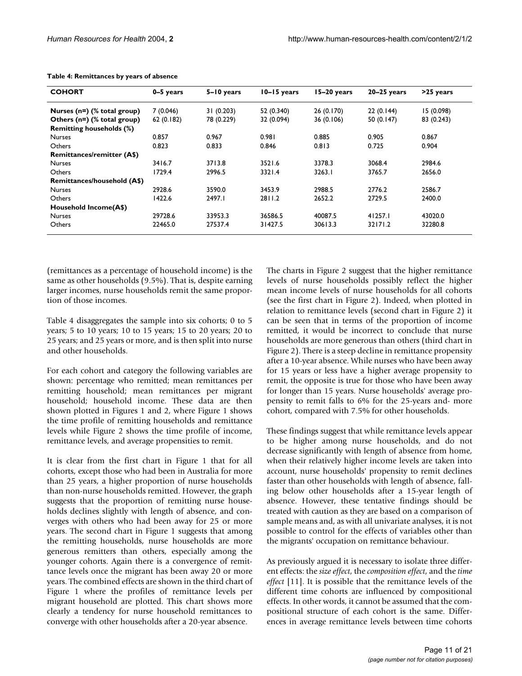| <b>COHORT</b>                      | $0-5$ years | 5-10 years | $10 - 15$ years | $15-20$ years | $20-25$ years | >25 years  |
|------------------------------------|-------------|------------|-----------------|---------------|---------------|------------|
| Nurses ( $n=$ ) (% total group)    | 7(0.046)    | 31(0.203)  | 52 (0.340)      | 26 (0.170)    | 22(0.144)     | 15 (0.098) |
| Others (n=) (% total group)        | 62(0.182)   | 78 (0.229) | 32 (0.094)      | 36(0.106)     | 50(0.147)     | 83 (0.243) |
| <b>Remitting households (%)</b>    |             |            |                 |               |               |            |
| <b>Nurses</b>                      | 0.857       | 0.967      | 0.981           | 0.885         | 0.905         | 0.867      |
| Others                             | 0.823       | 0.833      | 0.846           | 0.813         | 0.725         | 0.904      |
| <b>Remittances/remitter (A\$)</b>  |             |            |                 |               |               |            |
| <b>Nurses</b>                      | 3416.7      | 3713.8     | 3521.6          | 3378.3        | 3068.4        | 2984.6     |
| Others                             | 1729.4      | 2996.5     | 3321.4          | 3263.1        | 3765.7        | 2656.0     |
| <b>Remittances/household (A\$)</b> |             |            |                 |               |               |            |
| <b>Nurses</b>                      | 2928.6      | 3590.0     | 3453.9          | 2988.5        | 2776.2        | 2586.7     |
| Others                             | 1422.6      | 2497.1     | 2811.2          | 2652.2        | 2729.5        | 2400.0     |
| Household Income(A\$)              |             |            |                 |               |               |            |
| <b>Nurses</b>                      | 29728.6     | 33953.3    | 36586.5         | 40087.5       | 41257.1       | 43020.0    |
| Others                             | 22465.0     | 27537.4    | 31427.5         | 30613.3       | 32171.2       | 32280.8    |

<span id="page-10-0"></span>**Table 4: Remittances by years of absence**

(remittances as a percentage of household income) is the same as other households (9.5%). That is, despite earning larger incomes, nurse households remit the same proportion of those incomes.

Table [4](#page-10-0) disaggregates the sample into six cohorts; 0 to 5 years; 5 to 10 years; 10 to 15 years; 15 to 20 years; 20 to 25 years; and 25 years or more, and is then split into nurse and other households.

For each cohort and category the following variables are shown: percentage who remitted; mean remittances per remitting household; mean remittances per migrant household; household income. These data are then shown plotted in Figures 1 and 2, where Figure 1 shows the time profile of remitting households and remittance levels while Figure 2 shows the time profile of income, remittance levels, and average propensities to remit.

It is clear from the first chart in Figure 1 that for all cohorts, except those who had been in Australia for more than 25 years, a higher proportion of nurse households than non-nurse households remitted. However, the graph suggests that the proportion of remitting nurse households declines slightly with length of absence, and converges with others who had been away for 25 or more years. The second chart in Figure 1 suggests that among the remitting households, nurse households are more generous remitters than others, especially among the younger cohorts. Again there is a convergence of remittance levels once the migrant has been away 20 or more years. The combined effects are shown in the third chart of Figure 1 where the profiles of remittance levels per migrant household are plotted. This chart shows more clearly a tendency for nurse household remittances to converge with other households after a 20-year absence.

The charts in Figure 2 suggest that the higher remittance levels of nurse households possibly reflect the higher mean income levels of nurse households for all cohorts (see the first chart in Figure 2). Indeed, when plotted in relation to remittance levels (second chart in Figure 2) it can be seen that in terms of the proportion of income remitted, it would be incorrect to conclude that nurse households are more generous than others (third chart in Figure 2). There is a steep decline in remittance propensity after a 10-year absence. While nurses who have been away for 15 years or less have a higher average propensity to remit, the opposite is true for those who have been away for longer than 15 years. Nurse households' average propensity to remit falls to 6% for the 25-years and- more cohort, compared with 7.5% for other households.

These findings suggest that while remittance levels appear to be higher among nurse households, and do not decrease significantly with length of absence from home, when their relatively higher income levels are taken into account, nurse households' propensity to remit declines faster than other households with length of absence, falling below other households after a 15-year length of absence. However, these tentative findings should be treated with caution as they are based on a comparison of sample means and, as with all univariate analyses, it is not possible to control for the effects of variables other than the migrants' occupation on remittance behaviour.

As previously argued it is necessary to isolate three different effects: the *size effect*, the *composition effect*, and the *time effect* [11]. It is possible that the remittance levels of the different time cohorts are influenced by compositional effects. In other words, it cannot be assumed that the compositional structure of each cohort is the same. Differences in average remittance levels between time cohorts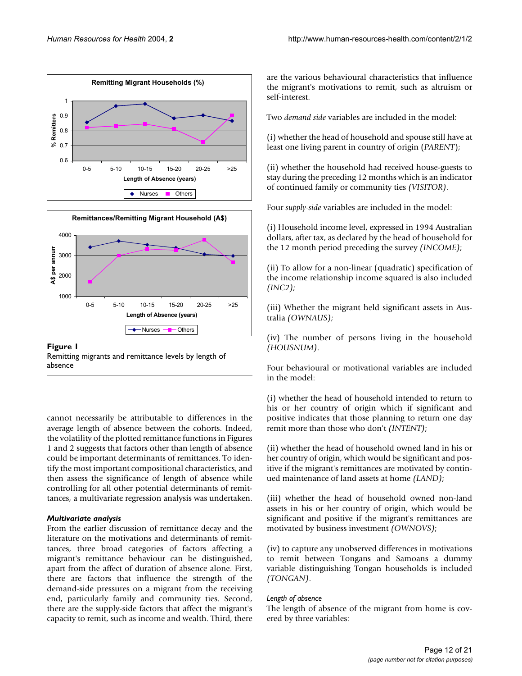





cannot necessarily be attributable to differences in the average length of absence between the cohorts. Indeed, the volatility of the plotted remittance functions in Figures 1 and 2 suggests that factors other than length of absence could be important determinants of remittances. To identify the most important compositional characteristics, and then assess the significance of length of absence while controlling for all other potential determinants of remittances, a multivariate regression analysis was undertaken.

#### *Multivariate analysis*

From the earlier discussion of remittance decay and the literature on the motivations and determinants of remittances, three broad categories of factors affecting a migrant's remittance behaviour can be distinguished, apart from the affect of duration of absence alone. First, there are factors that influence the strength of the demand-side pressures on a migrant from the receiving end, particularly family and community ties. Second, there are the supply-side factors that affect the migrant's capacity to remit, such as income and wealth. Third, there are the various behavioural characteristics that influence the migrant's motivations to remit, such as altruism or self-interest.

Two *demand side* variables are included in the model:

(i) whether the head of household and spouse still have at least one living parent in country of origin (*PARENT*);

(ii) whether the household had received house-guests to stay during the preceding 12 months which is an indicator of continued family or community ties *(VISITOR).*

Four *supply-side* variables are included in the model:

(i) Household income level, expressed in 1994 Australian dollars, after tax, as declared by the head of household for the 12 month period preceding the survey *(INCOME)*;

(ii) To allow for a non-linear (quadratic) specification of the income relationship income squared is also included *(INC2);*

(iii) Whether the migrant held significant assets in Australia *(OWNAUS);*

(iv) The number of persons living in the household *(HOUSNUM)*.

Four behavioural or motivational variables are included in the model:

(i) whether the head of household intended to return to his or her country of origin which if significant and positive indicates that those planning to return one day remit more than those who don't *(INTENT)*;

(ii) whether the head of household owned land in his or her country of origin, which would be significant and positive if the migrant's remittances are motivated by continued maintenance of land assets at home *(LAND)*;

(iii) whether the head of household owned non-land assets in his or her country of origin, which would be significant and positive if the migrant's remittances are motivated by business investment *(OWNOVS)*;

(iv) to capture any unobserved differences in motivations to remit between Tongans and Samoans a dummy variable distinguishing Tongan households is included *(TONGAN)*.

#### *Length of absence*

The length of absence of the migrant from home is covered by three variables: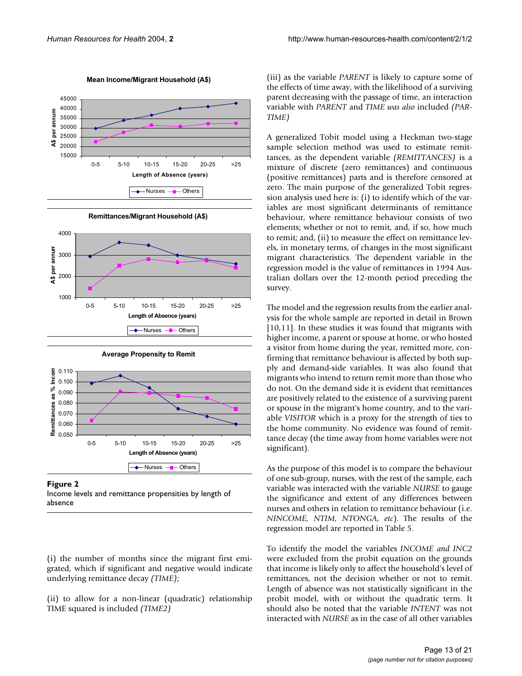

Mean Income/Migrant Household (A\$)





Average Propensity to Remit



Figure 2

Income levels and remittance propensities by length of absence

(i) the number of months since the migrant first emigrated, which if significant and negative would indicate underlying remittance decay *(TIME)*;

(ii) to allow for a non-linear (quadratic) relationship TIME squared is included *(TIME2)*

(iii) as the variable *PARENT* is likely to capture some of the effects of time away, with the likelihood of a surviving parent decreasing with the passage of time, an interaction variable with *PARENT* and *TIME was also* included *(PAR-TIME)*

A generalized Tobit model using a Heckman two-stage sample selection method was used to estimate remittances, as the dependent variable *(REMITTANCES)* is a mixture of discrete (zero remittances) and continuous (positive remittances) parts and is therefore censored at zero. The main purpose of the generalized Tobit regression analysis used here is: (i) to identify which of the variables are most significant determinants of remittance behaviour, where remittance behaviour consists of two elements; whether or not to remit, and, if so, how much to remit; and, (ii) to measure the effect on remittance levels, in monetary terms, of changes in the most significant migrant characteristics. The dependent variable in the regression model is the value of remittances in 1994 Australian dollars over the 12-month period preceding the survey.

The model and the regression results from the earlier analysis for the whole sample are reported in detail in Brown [10,11]. In these studies it was found that migrants with higher income, a parent or spouse at home, or who hosted a visitor from home during the year, remitted more, confirming that remittance behaviour is affected by both supply and demand-side variables. It was also found that migrants who intend to return remit more than those who do not. On the demand side it is evident that remittances are positively related to the existence of a surviving parent or spouse in the migrant's home country, and to the variable *VISITOR* which is a proxy for the strength of ties to the home community. No evidence was found of remittance decay (the time away from home variables were not significant).

As the purpose of this model is to compare the behaviour of one sub-group, nurses, with the rest of the sample, each variable was interacted with the variable *NURSE* to gauge the significance and extent of any differences between nurses and others in relation to remittance behaviour (i.e. *NINCOME, NTIM, NTONGA, etc*). The results of the regression model are reported in Table [5](#page-13-0).

To identify the model the variables *INCOME and INC2* were excluded from the probit equation on the grounds that income is likely only to affect the household's level of remittances, not the decision whether or not to remit. Length of absence was not statistically significant in the probit model, with or without the quadratic term. It should also be noted that the variable *INTENT* was not interacted with *NURSE* as in the case of all other variables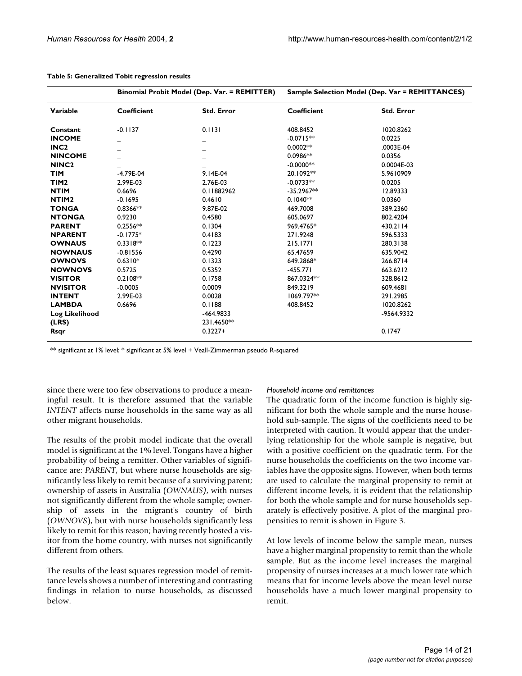|                   |                    | <b>Binomial Probit Model (Dep. Var. = REMITTER)</b> |                    | Sample Selection Model (Dep. Var = REMITTANCES) |
|-------------------|--------------------|-----------------------------------------------------|--------------------|-------------------------------------------------|
| Variable          | <b>Coefficient</b> | <b>Std. Error</b>                                   | <b>Coefficient</b> | <b>Std. Error</b>                               |
| Constant          | $-0.1137$          | 0.1131                                              | 408.8452           | 1020.8262                                       |
| <b>INCOME</b>     | -                  |                                                     | $-0.0715**$        | 0.0225                                          |
| INC <sub>2</sub>  |                    |                                                     | $0.0002**$         | .0003E-04                                       |
| <b>NINCOME</b>    |                    |                                                     | $0.0986**$         | 0.0356                                          |
| <b>NINC2</b>      |                    |                                                     | $-0.0000**$        | 0.0004E-03                                      |
| <b>TIM</b>        | $-4.79E - 04$      | 9.14E-04                                            | 20.1092**          | 5.9610909                                       |
| TIM <sub>2</sub>  | 2.99E-03           | 2.76E-03                                            | $-0.0733**$        | 0.0205                                          |
| <b>NTIM</b>       | 0.6696             | 0.11882962                                          | $-35.2967**$       | 12.89333                                        |
| NTIM <sub>2</sub> | $-0.1695$          | 0.4610                                              | $0.1040**$         | 0.0360                                          |
| <b>TONGA</b>      | $0.8366**$         | 9.87E-02                                            | 469.7008           | 389.2360                                        |
| <b>NTONGA</b>     | 0.9230             | 0.4580                                              | 605.0697           | 802.4204                                        |
| <b>PARENT</b>     | $0.2556**$         | 0.1304                                              | 969.4765*          | 430.2114                                        |
| <b>NPARENT</b>    | $-0.1775*$         | 0.4183                                              | 271.9248           | 596.5333                                        |
| <b>OWNAUS</b>     | $0.3318**$         | 0.1223                                              | 215.1771           | 280.3138                                        |
| <b>NOWNAUS</b>    | $-0.81556$         | 0.4290                                              | 65.47659           | 635.9042                                        |
| <b>OWNOVS</b>     | $0.6310*$          | 0.1323                                              | 649.2868*          | 266.8714                                        |
| <b>NOWNOVS</b>    | 0.5725             | 0.5352                                              | $-455.771$         | 663.6212                                        |
| <b>VISITOR</b>    | $0.2108**$         | 0.1758                                              | 867.0324**         | 328.8612                                        |
| <b>NVISITOR</b>   | $-0.0005$          | 0.0009                                              | 849.3219           | 609.4681                                        |
| <b>INTENT</b>     | 2.99E-03           | 0.0028                                              | 1069.797**         | 291.2985                                        |
| <b>LAMBDA</b>     | 0.6696             | 0.1188                                              | 408.8452           | 1020.8262                                       |
| Log Likelihood    |                    | -464.9833                                           |                    | -9564.9332                                      |
| (LRS)             |                    | 231.4650**                                          |                    |                                                 |
| Rsqr              |                    | $0.3227+$                                           |                    | 0.1747                                          |

#### <span id="page-13-0"></span>**Table 5: Generalized Tobit regression results**

\*\* significant at 1% level; \* significant at 5% level + Veall-Zimmerman pseudo R-squared

since there were too few observations to produce a meaningful result. It is therefore assumed that the variable *INTENT* affects nurse households in the same way as all other migrant households.

The results of the probit model indicate that the overall model is significant at the 1% level. Tongans have a higher probability of being a remitter. Other variables of significance are: *PARENT*, but where nurse households are significantly less likely to remit because of a surviving parent; ownership of assets in Australia (*OWNAUS)*, with nurses not significantly different from the whole sample; ownership of assets in the migrant's country of birth (*OWNOVS*), but with nurse households significantly less likely to remit for this reason; having recently hosted a visitor from the home country, with nurses not significantly different from others.

The results of the least squares regression model of remittance levels shows a number of interesting and contrasting findings in relation to nurse households, as discussed below.

#### *Household income and remittances*

The quadratic form of the income function is highly significant for both the whole sample and the nurse household sub-sample. The signs of the coefficients need to be interpreted with caution. It would appear that the underlying relationship for the whole sample is negative, but with a positive coefficient on the quadratic term. For the nurse households the coefficients on the two income variables have the opposite signs. However, when both terms are used to calculate the marginal propensity to remit at different income levels, it is evident that the relationship for both the whole sample and for nurse households separately is effectively positive. A plot of the marginal propensities to remit is shown in Figure [3.](#page-14-0)

At low levels of income below the sample mean, nurses have a higher marginal propensity to remit than the whole sample. But as the income level increases the marginal propensity of nurses increases at a much lower rate which means that for income levels above the mean level nurse households have a much lower marginal propensity to remit.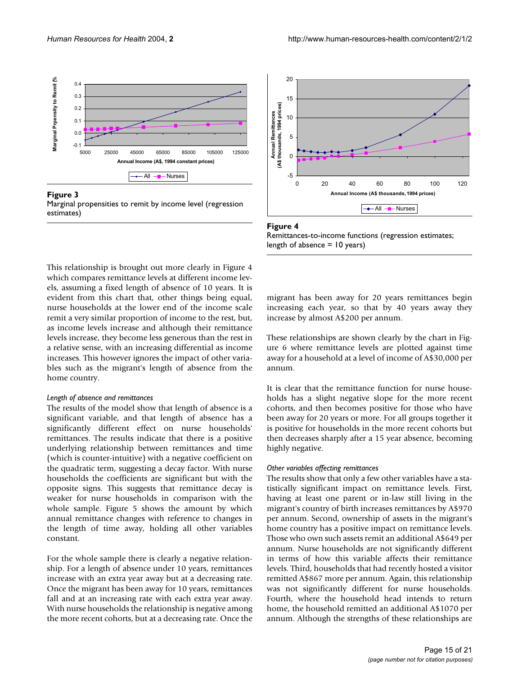<span id="page-14-0"></span>

**Figure 3** 

Marginal propensities to remit by income level (regression estimates)

This relationship is brought out more clearly in Figure 4 which compares remittance levels at different income levels, assuming a fixed length of absence of 10 years. It is evident from this chart that, other things being equal, nurse households at the lower end of the income scale remit a very similar proportion of income to the rest, but, as income levels increase and although their remittance levels increase, they become less generous than the rest in a relative sense, with an increasing differential as income increases. This however ignores the impact of other variables such as the migrant's length of absence from the home country.

#### *Length of absence and remittances*

The results of the model show that length of absence is a significant variable, and that length of absence has a significantly different effect on nurse households' remittances. The results indicate that there is a positive underlying relationship between remittances and time (which is counter-intuitive) with a negative coefficient on the quadratic term, suggesting a decay factor. With nurse households the coefficients are significant but with the opposite signs. This suggests that remittance decay is weaker for nurse households in comparison with the whole sample. Figure 5 shows the amount by which annual remittance changes with reference to changes in the length of time away, holding all other variables constant.

For the whole sample there is clearly a negative relationship. For a length of absence under 10 years, remittances increase with an extra year away but at a decreasing rate. Once the migrant has been away for 10 years, remittances fall and at an increasing rate with each extra year away. With nurse households the relationship is negative among the more recent cohorts, but at a decreasing rate. Once the



Figure 4 Remittances-to-income functions (regression estimates; length of absence = 10 years)

migrant has been away for 20 years remittances begin increasing each year, so that by 40 years away they increase by almost A\$200 per annum.

These relationships are shown clearly by the chart in Figure [6](#page-15-0) where remittance levels are plotted against time away for a household at a level of income of A\$30,000 per annum.

It is clear that the remittance function for nurse households has a slight negative slope for the more recent cohorts, and then becomes positive for those who have been away for 20 years or more. For all groups together it is positive for households in the more recent cohorts but then decreases sharply after a 15 year absence, becoming highly negative.

#### *Other variables affecting remittances*

The results show that only a few other variables have a statistically significant impact on remittance levels. First, having at least one parent or in-law still living in the migrant's country of birth increases remittances by A\$970 per annum. Second, ownership of assets in the migrant's home country has a positive impact on remittance levels. Those who own such assets remit an additional A\$649 per annum. Nurse households are not significantly different in terms of how this variable affects their remittance levels. Third, households that had recently hosted a visitor remitted A\$867 more per annum. Again, this relationship was not significantly different for nurse households. Fourth, where the household head intends to return home, the household remitted an additional A\$1070 per annum. Although the strengths of these relationships are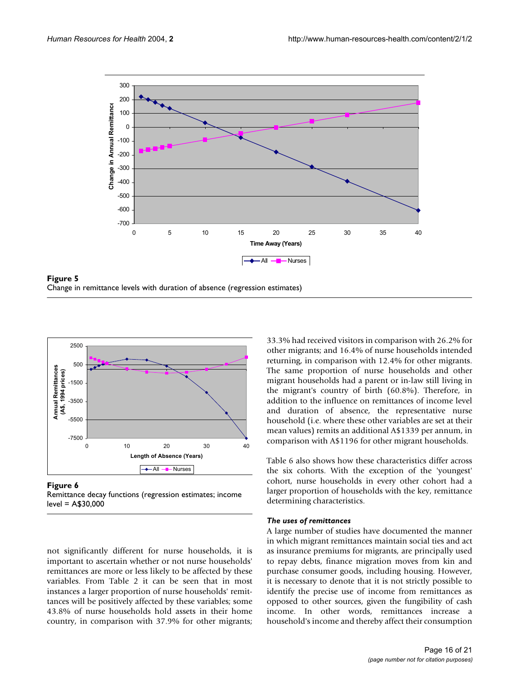**Figure 5** 





<span id="page-15-0"></span>

**Figure 6** Remittance decay functions (regression estimates; income level = A\$30,000

not significantly different for nurse households, it is important to ascertain whether or not nurse households' remittances are more or less likely to be affected by these variables. From Table [2](#page-4-1) it can be seen that in most instances a larger proportion of nurse households' remittances will be positively affected by these variables; some 43.8% of nurse households hold assets in their home country, in comparison with 37.9% for other migrants;

33.3% had received visitors in comparison with 26.2% for other migrants; and 16.4% of nurse households intended returning, in comparison with 12.4% for other migrants. The same proportion of nurse households and other migrant households had a parent or in-law still living in the migrant's country of birth (60.8%). Therefore, in addition to the influence on remittances of income level and duration of absence, the representative nurse household (i.e. where these other variables are set at their mean values) remits an additional A\$1339 per annum, in comparison with A\$1196 for other migrant households.

Table [6](#page-16-0) also shows how these characteristics differ across the six cohorts. With the exception of the 'youngest' cohort, nurse households in every other cohort had a larger proportion of households with the key, remittance determining characteristics.

#### *The uses of remittances*

A large number of studies have documented the manner in which migrant remittances maintain social ties and act as insurance premiums for migrants, are principally used to repay debts, finance migration moves from kin and purchase consumer goods, including housing. However, it is necessary to denote that it is not strictly possible to identify the precise use of income from remittances as opposed to other sources, given the fungibility of cash income. In other words, remittances increase a household's income and thereby affect their consumption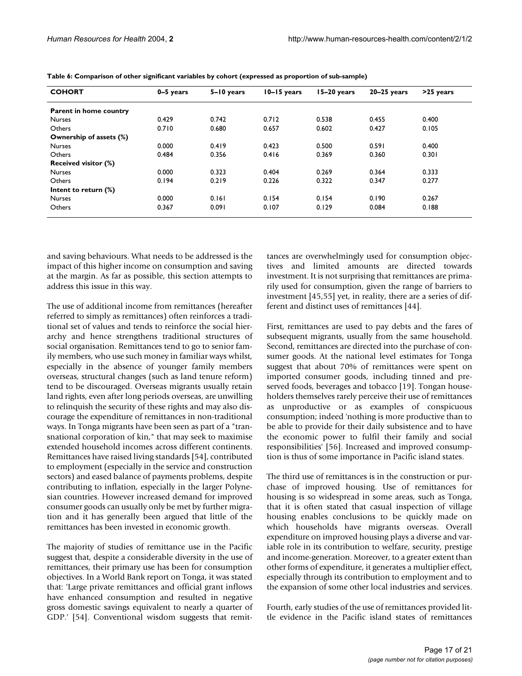| <b>COHORT</b>               | 0-5 years | 5-10 years | $10 - 15$ years | 15-20 years | $20-25$ years | >25 years |
|-----------------------------|-----------|------------|-----------------|-------------|---------------|-----------|
| Parent in home country      |           |            |                 |             |               |           |
| <b>Nurses</b>               | 0.429     | 0.742      | 0.712           | 0.538       | 0.455         | 0.400     |
| Others                      | 0.710     | 0.680      | 0.657           | 0.602       | 0.427         | 0.105     |
| Ownership of assets (%)     |           |            |                 |             |               |           |
| <b>Nurses</b>               | 0.000     | 0.419      | 0.423           | 0.500       | 0.591         | 0.400     |
| Others                      | 0.484     | 0.356      | 0.416           | 0.369       | 0.360         | 0.301     |
| <b>Received visitor (%)</b> |           |            |                 |             |               |           |
| <b>Nurses</b>               | 0.000     | 0.323      | 0.404           | 0.269       | 0.364         | 0.333     |
| Others                      | 0.194     | 0.219      | 0.226           | 0.322       | 0.347         | 0.277     |
| Intent to return (%)        |           |            |                 |             |               |           |
| <b>Nurses</b>               | 0.000     | 0.161      | 0.154           | 0.154       | 0.190         | 0.267     |
| Others                      | 0.367     | 0.091      | 0.107           | 0.129       | 0.084         | 0.188     |

<span id="page-16-0"></span>**Table 6: Comparison of other significant variables by cohort (expressed as proportion of sub-sample)**

and saving behaviours. What needs to be addressed is the impact of this higher income on consumption and saving at the margin. As far as possible, this section attempts to address this issue in this way.

The use of additional income from remittances (hereafter referred to simply as remittances) often reinforces a traditional set of values and tends to reinforce the social hierarchy and hence strengthens traditional structures of social organisation. Remittances tend to go to senior family members, who use such money in familiar ways whilst, especially in the absence of younger family members overseas, structural changes (such as land tenure reform) tend to be discouraged. Overseas migrants usually retain land rights, even after long periods overseas, are unwilling to relinquish the security of these rights and may also discourage the expenditure of remittances in non-traditional ways. In Tonga migrants have been seen as part of a "transnational corporation of kin," that may seek to maximise extended household incomes across different continents. Remittances have raised living standards [54], contributed to employment (especially in the service and construction sectors) and eased balance of payments problems, despite contributing to inflation, especially in the larger Polynesian countries. However increased demand for improved consumer goods can usually only be met by further migration and it has generally been argued that little of the remittances has been invested in economic growth.

The majority of studies of remittance use in the Pacific suggest that, despite a considerable diversity in the use of remittances, their primary use has been for consumption objectives. In a World Bank report on Tonga, it was stated that: 'Large private remittances and official grant inflows have enhanced consumption and resulted in negative gross domestic savings equivalent to nearly a quarter of GDP.' [54]. Conventional wisdom suggests that remittances are overwhelmingly used for consumption objectives and limited amounts are directed towards investment. It is not surprising that remittances are primarily used for consumption, given the range of barriers to investment [45,55] yet, in reality, there are a series of different and distinct uses of remittances [44].

First, remittances are used to pay debts and the fares of subsequent migrants, usually from the same household. Second, remittances are directed into the purchase of consumer goods. At the national level estimates for Tonga suggest that about 70% of remittances were spent on imported consumer goods, including tinned and preserved foods, beverages and tobacco [19]. Tongan householders themselves rarely perceive their use of remittances as unproductive or as examples of conspicuous consumption; indeed 'nothing is more productive than to be able to provide for their daily subsistence and to have the economic power to fulfil their family and social responsibilities' [56]. Increased and improved consumption is thus of some importance in Pacific island states.

The third use of remittances is in the construction or purchase of improved housing. Use of remittances for housing is so widespread in some areas, such as Tonga, that it is often stated that casual inspection of village housing enables conclusions to be quickly made on which households have migrants overseas. Overall expenditure on improved housing plays a diverse and variable role in its contribution to welfare, security, prestige and income-generation. Moreover, to a greater extent than other forms of expenditure, it generates a multiplier effect, especially through its contribution to employment and to the expansion of some other local industries and services.

Fourth, early studies of the use of remittances provided little evidence in the Pacific island states of remittances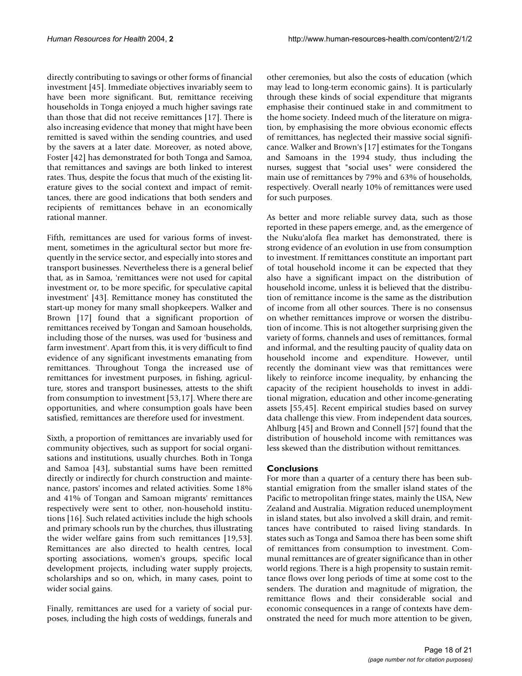directly contributing to savings or other forms of financial investment [45]. Immediate objectives invariably seem to have been more significant. But, remittance receiving households in Tonga enjoyed a much higher savings rate than those that did not receive remittances [17]. There is also increasing evidence that money that might have been remitted is saved within the sending countries, and used by the savers at a later date. Moreover, as noted above, Foster [42] has demonstrated for both Tonga and Samoa, that remittances and savings are both linked to interest rates. Thus, despite the focus that much of the existing literature gives to the social context and impact of remittances, there are good indications that both senders and recipients of remittances behave in an economically rational manner.

Fifth, remittances are used for various forms of investment, sometimes in the agricultural sector but more frequently in the service sector, and especially into stores and transport businesses. Nevertheless there is a general belief that, as in Samoa, 'remittances were not used for capital investment or, to be more specific, for speculative capital investment' [43]. Remittance money has constituted the start-up money for many small shopkeepers. Walker and Brown [17] found that a significant proportion of remittances received by Tongan and Samoan households, including those of the nurses, was used for 'business and farm investment'. Apart from this, it is very difficult to find evidence of any significant investments emanating from remittances. Throughout Tonga the increased use of remittances for investment purposes, in fishing, agriculture, stores and transport businesses, attests to the shift from consumption to investment [53,17]. Where there are opportunities, and where consumption goals have been satisfied, remittances are therefore used for investment.

Sixth, a proportion of remittances are invariably used for community objectives, such as support for social organisations and institutions, usually churches. Both in Tonga and Samoa [43], substantial sums have been remitted directly or indirectly for church construction and maintenance, pastors' incomes and related activities. Some 18% and 41% of Tongan and Samoan migrants' remittances respectively were sent to other, non-household institutions [16]. Such related activities include the high schools and primary schools run by the churches, thus illustrating the wider welfare gains from such remittances [19,53]. Remittances are also directed to health centres, local sporting associations, women's groups, specific local development projects, including water supply projects, scholarships and so on, which, in many cases, point to wider social gains.

Finally, remittances are used for a variety of social purposes, including the high costs of weddings, funerals and

other ceremonies, but also the costs of education (which may lead to long-term economic gains). It is particularly through these kinds of social expenditure that migrants emphasise their continued stake in and commitment to the home society. Indeed much of the literature on migration, by emphasising the more obvious economic effects of remittances, has neglected their massive social significance. Walker and Brown's [17] estimates for the Tongans and Samoans in the 1994 study, thus including the nurses, suggest that "social uses" were considered the main use of remittances by 79% and 63% of households, respectively. Overall nearly 10% of remittances were used for such purposes.

As better and more reliable survey data, such as those reported in these papers emerge, and, as the emergence of the Nuku'alofa flea market has demonstrated, there is strong evidence of an evolution in use from consumption to investment. If remittances constitute an important part of total household income it can be expected that they also have a significant impact on the distribution of household income, unless it is believed that the distribution of remittance income is the same as the distribution of income from all other sources. There is no consensus on whether remittances improve or worsen the distribution of income. This is not altogether surprising given the variety of forms, channels and uses of remittances, formal and informal, and the resulting paucity of quality data on household income and expenditure. However, until recently the dominant view was that remittances were likely to reinforce income inequality, by enhancing the capacity of the recipient households to invest in additional migration, education and other income-generating assets [55,45]. Recent empirical studies based on survey data challenge this view. From independent data sources, Ahlburg [45] and Brown and Connell [57] found that the distribution of household income with remittances was less skewed than the distribution without remittances.

# **Conclusions**

For more than a quarter of a century there has been substantial emigration from the smaller island states of the Pacific to metropolitan fringe states, mainly the USA, New Zealand and Australia. Migration reduced unemployment in island states, but also involved a skill drain, and remittances have contributed to raised living standards. In states such as Tonga and Samoa there has been some shift of remittances from consumption to investment. Communal remittances are of greater significance than in other world regions. There is a high propensity to sustain remittance flows over long periods of time at some cost to the senders. The duration and magnitude of migration, the remittance flows and their considerable social and economic consequences in a range of contexts have demonstrated the need for much more attention to be given,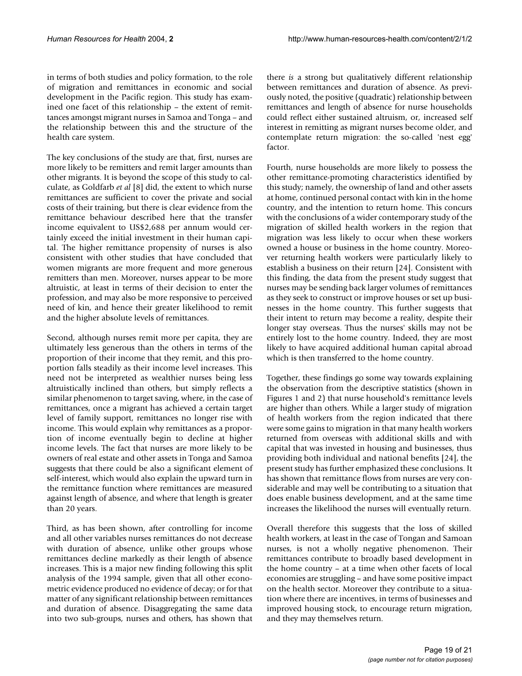in terms of both studies and policy formation, to the role of migration and remittances in economic and social development in the Pacific region. This study has examined one facet of this relationship – the extent of remittances amongst migrant nurses in Samoa and Tonga – and the relationship between this and the structure of the health care system.

The key conclusions of the study are that, first, nurses are more likely to be remitters and remit larger amounts than other migrants. It is beyond the scope of this study to calculate, as Goldfarb *et al* [8] did, the extent to which nurse remittances are sufficient to cover the private and social costs of their training, but there is clear evidence from the remittance behaviour described here that the transfer income equivalent to US\$2,688 per annum would certainly exceed the initial investment in their human capital. The higher remittance propensity of nurses is also consistent with other studies that have concluded that women migrants are more frequent and more generous remitters than men. Moreover, nurses appear to be more altruistic, at least in terms of their decision to enter the profession, and may also be more responsive to perceived need of kin, and hence their greater likelihood to remit and the higher absolute levels of remittances.

Second, although nurses remit more per capita, they are ultimately less generous than the others in terms of the proportion of their income that they remit, and this proportion falls steadily as their income level increases. This need not be interpreted as wealthier nurses being less altruistically inclined than others, but simply reflects a similar phenomenon to target saving, where, in the case of remittances, once a migrant has achieved a certain target level of family support, remittances no longer rise with income. This would explain why remittances as a proportion of income eventually begin to decline at higher income levels. The fact that nurses are more likely to be owners of real estate and other assets in Tonga and Samoa suggests that there could be also a significant element of self-interest, which would also explain the upward turn in the remittance function where remittances are measured against length of absence, and where that length is greater than 20 years.

Third, as has been shown, after controlling for income and all other variables nurses remittances do not decrease with duration of absence, unlike other groups whose remittances decline markedly as their length of absence increases. This is a major new finding following this split analysis of the 1994 sample, given that all other econometric evidence produced no evidence of decay; or for that matter of any significant relationship between remittances and duration of absence. Disaggregating the same data into two sub-groups, nurses and others, has shown that

there *is* a strong but qualitatively different relationship between remittances and duration of absence. As previously noted, the positive (quadratic) relationship between remittances and length of absence for nurse households could reflect either sustained altruism, or, increased self interest in remitting as migrant nurses become older, and contemplate return migration: the so-called 'nest egg' factor.

Fourth, nurse households are more likely to possess the other remittance-promoting characteristics identified by this study; namely, the ownership of land and other assets at home, continued personal contact with kin in the home country, and the intention to return home. This concurs with the conclusions of a wider contemporary study of the migration of skilled health workers in the region that migration was less likely to occur when these workers owned a house or business in the home country. Moreover returning health workers were particularly likely to establish a business on their return [24]. Consistent with this finding, the data from the present study suggest that nurses may be sending back larger volumes of remittances as they seek to construct or improve houses or set up businesses in the home country. This further suggests that their intent to return may become a reality, despite their longer stay overseas. Thus the nurses' skills may not be entirely lost to the home country. Indeed, they are most likely to have acquired additional human capital abroad which is then transferred to the home country.

Together, these findings go some way towards explaining the observation from the descriptive statistics (shown in Figures 1 and 2) that nurse household's remittance levels are higher than others. While a larger study of migration of health workers from the region indicated that there were some gains to migration in that many health workers returned from overseas with additional skills and with capital that was invested in housing and businesses, thus providing both individual and national benefits [24], the present study has further emphasized these conclusions. It has shown that remittance flows from nurses are very considerable and may well be contributing to a situation that does enable business development, and at the same time increases the likelihood the nurses will eventually return.

Overall therefore this suggests that the loss of skilled health workers, at least in the case of Tongan and Samoan nurses, is not a wholly negative phenomenon. Their remittances contribute to broadly based development in the home country – at a time when other facets of local economies are struggling – and have some positive impact on the health sector. Moreover they contribute to a situation where there are incentives, in terms of businesses and improved housing stock, to encourage return migration, and they may themselves return.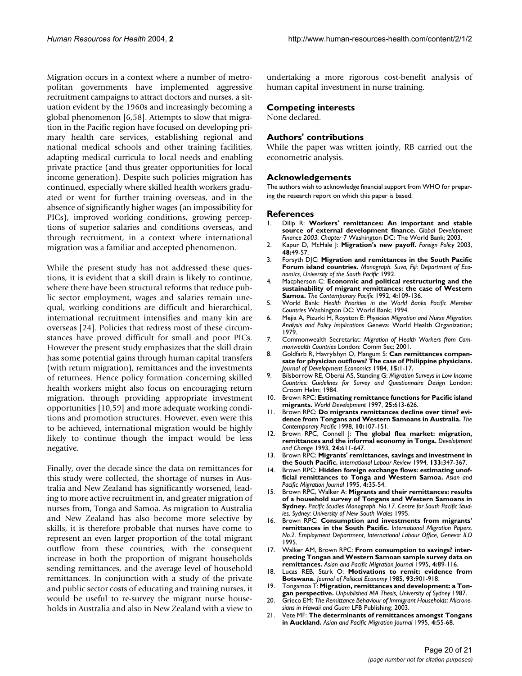Migration occurs in a context where a number of metropolitan governments have implemented aggressive recruitment campaigns to attract doctors and nurses, a situation evident by the 1960s and increasingly becoming a global phenomenon [6,58]. Attempts to slow that migration in the Pacific region have focused on developing primary health care services, establishing regional and national medical schools and other training facilities, adapting medical curricula to local needs and enabling private practice (and thus greater opportunities for local income generation). Despite such policies migration has continued, especially where skilled health workers graduated or went for further training overseas, and in the absence of significantly higher wages (an impossibility for PICs), improved working conditions, growing perceptions of superior salaries and conditions overseas, and through recruitment, in a context where international migration was a familiar and accepted phenomenon.

While the present study has not addressed these questions, it is evident that a skill drain is likely to continue, where there have been structural reforms that reduce public sector employment, wages and salaries remain unequal, working conditions are difficult and hierarchical, international recruitment intensifies and many kin are overseas [24]. Policies that redress most of these circumstances have proved difficult for small and poor PICs. However the present study emphasizes that the skill drain has some potential gains through human capital transfers (with return migration), remittances and the investments of returnees. Hence policy formation concerning skilled health workers might also focus on encouraging return migration, through providing appropriate investment opportunities [10,59] and more adequate working conditions and promotion structures. However, even were this to be achieved, international migration would be highly likely to continue though the impact would be less negative.

Finally, over the decade since the data on remittances for this study were collected, the shortage of nurses in Australia and New Zealand has significantly worsened, leading to more active recruitment in, and greater migration of nurses from, Tonga and Samoa. As migration to Australia and New Zealand has also become more selective by skills, it is therefore probable that nurses have come to represent an even larger proportion of the total migrant outflow from these countries, with the consequent increase in both the proportion of migrant households sending remittances, and the average level of household remittances. In conjunction with a study of the private and public sector costs of educating and training nurses, it would be useful to re-survey the migrant nurse households in Australia and also in New Zealand with a view to undertaking a more rigorous cost-benefit analysis of human capital investment in nurse training.

#### **Competing interests**

None declared.

#### **Authors' contributions**

While the paper was written jointly, RB carried out the econometric analysis.

#### **Acknowledgements**

The authors wish to acknowledge financial support from WHO for preparing the research report on which this paper is based.

#### **References**

- 1. Dilip R: **Workers' remittances: An important and stable source of external development finance.** *Global Development Finance 2003. Chapter 7* Washington DC: The World Bank; 2003.
- 2. Kapur D, McHale J: **Migration's new payoff.** *Foreign Policy* 2003, **48:**49-57.
- 3. Forsyth DJC: **Migration and remittances in the South Pacific Forum island countries.** *Monograph. Suva, Fiji: Department of Economics, University of the South Pacific* 1992.
- 4. Macpherson C: **[Economic and political restructuring and the](http://www.ncbi.nlm.nih.gov/entrez/query.fcgi?cmd=Retrieve&db=PubMed&dopt=Abstract&list_uids=12317596) [sustainability of migrant remittances: the case of Western](http://www.ncbi.nlm.nih.gov/entrez/query.fcgi?cmd=Retrieve&db=PubMed&dopt=Abstract&list_uids=12317596) [Samoa.](http://www.ncbi.nlm.nih.gov/entrez/query.fcgi?cmd=Retrieve&db=PubMed&dopt=Abstract&list_uids=12317596)** *The Contemporary Pacific* 1992, **4:**109-136.
- 5. World Bank: *Health Priorities in the World Banks Pacific Member Countries* Washington DC: World Bank; 1994.
- 6. Mejia A, Pizurki H, Royston E: *Physician Migration and Nurse Migration. Analysis and Policy Implications* Geneva: World Health Organization; 1979.
- 7. Commonwealth Secretariat: *Migration of Health Workers from Commonwealth Countries* London: Comm Sec; 2001.
- 8. Goldfarb R, Havrylshyn O, Mangum S: **[Can remittances compen](http://www.ncbi.nlm.nih.gov/entrez/query.fcgi?cmd=Retrieve&db=PubMed&dopt=Abstract&list_uids=10.1016/0304-3878(84)90002-6)[sate for physician outflows? The case of Philippine physicians.](http://www.ncbi.nlm.nih.gov/entrez/query.fcgi?cmd=Retrieve&db=PubMed&dopt=Abstract&list_uids=10.1016/0304-3878(84)90002-6)** *Journal of Development Economics* 1984, **15:**1-17.
- 9. Bilsborrow RE, Oberai AS, Standing G: *Migration Surveys in Low Income Countries: Guidelines for Survey and Questionnaire Design* London: Croom Helm; 1984.
- 10. Brown RPC: **[Estimating remittance functions for Pacific island](http://www.ncbi.nlm.nih.gov/entrez/query.fcgi?cmd=Retrieve&db=PubMed&dopt=Abstract&list_uids=10.1016/S0305-750X(96)00122-2) [migrants.](http://www.ncbi.nlm.nih.gov/entrez/query.fcgi?cmd=Retrieve&db=PubMed&dopt=Abstract&list_uids=10.1016/S0305-750X(96)00122-2)** *World Development* 1997, **25:**613-626.
- 11. Brown RPC: **[Do migrants remittances decline over time? evi](http://www.ncbi.nlm.nih.gov/entrez/query.fcgi?cmd=Retrieve&db=PubMed&dopt=Abstract&list_uids=12348941)[dence from Tongans and Western Samoans in Australia.](http://www.ncbi.nlm.nih.gov/entrez/query.fcgi?cmd=Retrieve&db=PubMed&dopt=Abstract&list_uids=12348941)** *The Contemporary Pacific* 1998, **10:**107-151.
- 12. Brown RPC, Connell J: **The global flea market: migration, remittances and the informal economy in Tonga.** *Development and Change* 1993, **24:**611-647.
- 13. Brown RPC: Migrants' remittances, savings and investment in **the South Pacific.** *International Labour Review* 1994, **133:**347-367.
- 14. Brown RPC: **Hidden foreign exchange flows: estimating unofficial remittances to Tonga and Western Samoa.** *Asian and Pacific Migration Journal* 1995, **4:**35-54.
- 15. Brown RPC, Walker A: **Migrants and their remittances: results of a household survey of Tongans and Western Samoans in Sydney.** *Pacific Studies Monograph. No.17. Centre for South Pacific Studies, Sydney: University of New South Wales* 1995.
- 16. Brown RPC: **Consumption and investments from migrants' remittances in the South Pacific.** *International Migration Papers. No.2. Employment Department, International Labour Office, Geneva: ILO* 1995.
- 17. Walker AM, Brown RPC: **From consumption to savings? interpreting Tongan and Western Samoan sample survey data on remittances.** *Asian and Pacific Migration Journal* 1995, **4:**89-116.
- 18. Lucas REB, Stark O: **[Motivations to remit: evidence from](http://www.ncbi.nlm.nih.gov/entrez/query.fcgi?cmd=Retrieve&db=PubMed&dopt=Abstract&list_uids=10.1086/261341) [Botswana.](http://www.ncbi.nlm.nih.gov/entrez/query.fcgi?cmd=Retrieve&db=PubMed&dopt=Abstract&list_uids=10.1086/261341)** *Journal of Political Economy* 1985, **93:**901-918.
- 19. Tongamoa T: **Migration, remittances and development: a Tongan perspective.** *Unpublished MA Thesis, University of Sydney* 1987.
- 20. Grieco EM: *The Remittance Behaviour of Immigrant Households: Micronesians in Hawaii and Guam* LFB Publishing; 2003.
- 21. Vete MF: **The determinants of remittances amongst Tongans in Auckland.** *Asian and Pacific Migration Journal* 1995, **4:**55-68.